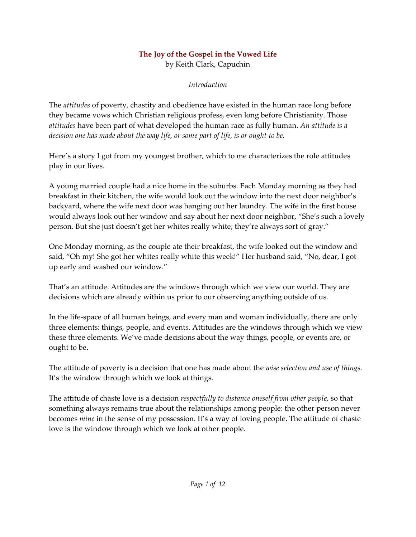#### **The Joy of the Gospel in the Vowed Life** by Keith Clark, Capuchin

*Introduction*

The *attitudes* of poverty, chastity and obedience have existed in the human race long before they became vows which Christian religious profess, even long before Christianity. Those *attitudes* have been part of what developed the human race as fully human. *An attitude is a decision one has made about the way life, or some part of life, is or ought to be.*

Here's a story I got from my youngest brother, which to me characterizes the role attitudes play in our lives.

A young married couple had a nice home in the suburbs. Each Monday morning as they had breakfast in their kitchen, the wife would look out the window into the next door neighbor's backyard, where the wife next door was hanging out her laundry. The wife in the first house would always look out her window and say about her next door neighbor, "She's such a lovely person. But she just doesn't get her whites really white; they're always sort of gray."

One Monday morning, as the couple ate their breakfast, the wife looked out the window and said, "Oh my! She got her whites really white this week!" Her husband said, "No, dear, I got up early and washed our window."

That's an attitude. Attitudes are the windows through which we view our world. They are decisions which are already within us prior to our observing anything outside of us.

In the life-space of all human beings, and every man and woman individually, there are only three elements: things, people, and events. Attitudes are the windows through which we view these three elements. We've made decisions about the way things, people, or events are, or ought to be.

The attitude of poverty is a decision that one has made about the *wise selection and use of things.* It's the window through which we look at things.

The attitude of chaste love is a decision *respectfully to distance oneself from other people,* so that something always remains true about the relationships among people: the other person never becomes *mine* in the sense of my possession. It's a way of loving people. The attitude of chaste love is the window through which we look at other people.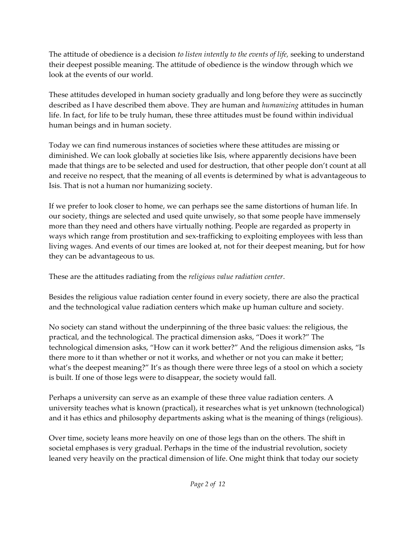The attitude of obedience is a decision *to listen intently to the events of life,* seeking to understand their deepest possible meaning. The attitude of obedience is the window through which we look at the events of our world.

These attitudes developed in human society gradually and long before they were as succinctly described as I have described them above. They are human and *humanizing* attitudes in human life. In fact, for life to be truly human, these three attitudes must be found within individual human beings and in human society.

Today we can find numerous instances of societies where these attitudes are missing or diminished. We can look globally at societies like Isis, where apparently decisions have been made that things are to be selected and used for destruction, that other people don't count at all and receive no respect, that the meaning of all events is determined by what is advantageous to Isis. That is not a human nor humanizing society.

If we prefer to look closer to home, we can perhaps see the same distortions of human life. In our society, things are selected and used quite unwisely, so that some people have immensely more than they need and others have virtually nothing. People are regarded as property in ways which range from prostitution and sex-trafficking to exploiting employees with less than living wages. And events of our times are looked at, not for their deepest meaning, but for how they can be advantageous to us.

These are the attitudes radiating from the *religious value radiation center*.

Besides the religious value radiation center found in every society, there are also the practical and the technological value radiation centers which make up human culture and society.

No society can stand without the underpinning of the three basic values: the religious, the practical, and the technological. The practical dimension asks, "Does it work?" The technological dimension asks, "How can it work better?" And the religious dimension asks, "Is there more to it than whether or not it works, and whether or not you can make it better; what's the deepest meaning?" It's as though there were three legs of a stool on which a society is built. If one of those legs were to disappear, the society would fall.

Perhaps a university can serve as an example of these three value radiation centers. A university teaches what is known (practical), it researches what is yet unknown (technological) and it has ethics and philosophy departments asking what is the meaning of things (religious).

Over time, society leans more heavily on one of those legs than on the others. The shift in societal emphases is very gradual. Perhaps in the time of the industrial revolution, society leaned very heavily on the practical dimension of life. One might think that today our society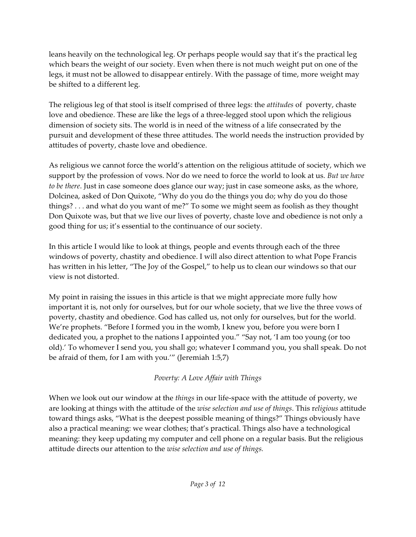leans heavily on the technological leg. Or perhaps people would say that it's the practical leg which bears the weight of our society. Even when there is not much weight put on one of the legs, it must not be allowed to disappear entirely. With the passage of time, more weight may be shifted to a different leg.

The religious leg of that stool is itself comprised of three legs: the *attitudes* of poverty, chaste love and obedience. These are like the legs of a three-legged stool upon which the religious dimension of society sits. The world is in need of the witness of a life consecrated by the pursuit and development of these three attitudes. The world needs the instruction provided by attitudes of poverty, chaste love and obedience.

As religious we cannot force the world's attention on the religious attitude of society, which we support by the profession of vows. Nor do we need to force the world to look at us. *But we have to be there*. Just in case someone does glance our way; just in case someone asks, as the whore, Dolcinea, asked of Don Quixote, "Why do you do the things you do; why do you do those things? . . . and what do you want of me?" To some we might seem as foolish as they thought Don Quixote was, but that we live our lives of poverty, chaste love and obedience is not only a good thing for us; it's essential to the continuance of our society.

In this article I would like to look at things, people and events through each of the three windows of poverty, chastity and obedience. I will also direct attention to what Pope Francis has written in his letter, "The Joy of the Gospel," to help us to clean our windows so that our view is not distorted.

My point in raising the issues in this article is that we might appreciate more fully how important it is, not only for ourselves, but for our whole society, that we live the three vows of poverty, chastity and obedience. God has called us, not only for ourselves, but for the world. We're prophets. "Before I formed you in the womb, I knew you, before you were born I dedicated you, a prophet to the nations I appointed you." "Say not, 'I am too young (or too old).' To whomever I send you, you shall go; whatever I command you, you shall speak. Do not be afraid of them, for I am with you.'" (Jeremiah 1:5,7)

# *Poverty: A Love Affair with Things*

When we look out our window at the *things* in our life-space with the attitude of poverty, we are looking at things with the attitude of the *wise selection and use of things*. This r*eligious* attitude toward things asks, "What is the deepest possible meaning of things?" Things obviously have also a practical meaning: we wear clothes; that's practical. Things also have a technological meaning: they keep updating my computer and cell phone on a regular basis. But the religious attitude directs our attention to the *wise selection and use of things.*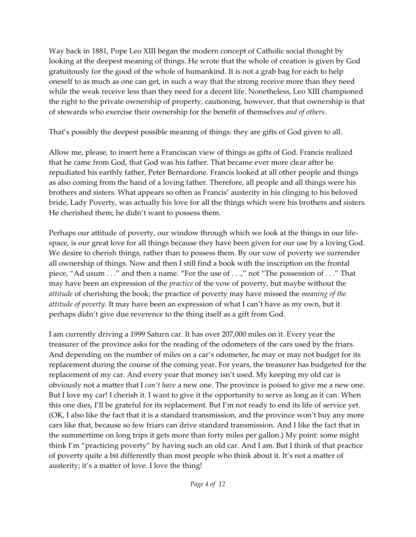Way back in 1881, Pope Leo XIII began the modern concept of Catholic social thought by looking at the deepest meaning of things. He wrote that the whole of creation is given by God gratuitously for the good of the whole of humankind. It is not a grab bag for each to help oneself to as much as one can get, in such a way that the strong receive more than they need while the weak receive less than they need for a decent life. Nonetheless, Leo XIII championed the right to the private ownership of property, cautioning, however, that that ownership is that of stewards who exercise their ownership for the benefit of themselves *and of others*.

That's possibly the deepest possible meaning of things: they are gifts of God given to all.

Allow me, please, to insert here a Franciscan view of things as gifts of God. Francis realized that he came from God, that God was his father. That became ever more clear after he repudiated his earthly father, Peter Bernardone. Francis looked at all other people and things as also coming from the hand of a loving father. Therefore, all people and all things were his brothers and sisters. What appears so often as Francis' austerity in his clinging to his beloved bride, Lady Poverty, was actually his love for all the things which were his brothers and sisters. He cherished them; he didn't want to possess them.

Perhaps our attitude of poverty, our window through which we look at the things in our lifespace, is our great love for all things because they have been given for our use by a loving God. We desire to cherish things, rather than to possess them. By our vow of poverty we surrender all ownership of things. Now and then I still find a book with the inscription on the frontal piece, "Ad usum . . ." and then a name. "For the use of . . .," not "The possession of . . ." That may have been an expression of the *practice* of the vow of poverty, but maybe without the *attitude* of cherishing the book; the practice of poverty may have missed the *meaning of the attitude of poverty*. It may have been an expression of what I can't have as my own, but it perhaps didn't give due reverence to the thing itself as a gift from God.

I am currently driving a 1999 Saturn car. It has over 207,000 miles on it. Every year the treasurer of the province asks for the reading of the odometers of the cars used by the friars. And depending on the number of miles on a car's odometer, he may or may not budget for its replacement during the course of the coming year. For years, the treasurer has budgeted for the replacement of my car. And every year that money isn't used. My keeping my old car is obviously not a matter that I *can't have* a new one. The province is poised to give me a new one. But I love my car! I cherish it. I want to give it the opportunity to serve as long as it can. When this one dies, I'll be grateful for its replacement. But I'm not ready to end its life of service yet. (OK, I also like the fact that it is a standard transmission, and the province won't buy any more cars like that, because so few friars can drive standard transmission. And I like the fact that in the summertime on long trips it gets more than forty miles per gallon.) My point: some might think I'm "practicing poverty" by having such an old car. And I am. But I think of that practice of poverty quite a bit differently than most people who think about it. It's not a matter of austerity; it's a matter of love. I love the thing!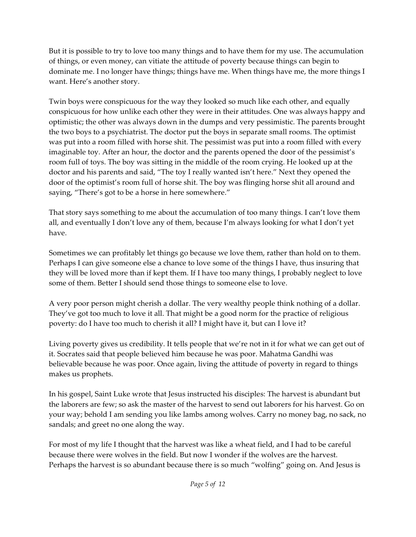But it is possible to try to love too many things and to have them for my use. The accumulation of things, or even money, can vitiate the attitude of poverty because things can begin to dominate me. I no longer have things; things have me. When things have me, the more things I want. Here's another story.

Twin boys were conspicuous for the way they looked so much like each other, and equally conspicuous for how unlike each other they were in their attitudes. One was always happy and optimistic; the other was always down in the dumps and very pessimistic. The parents brought the two boys to a psychiatrist. The doctor put the boys in separate small rooms. The optimist was put into a room filled with horse shit. The pessimist was put into a room filled with every imaginable toy. After an hour, the doctor and the parents opened the door of the pessimist's room full of toys. The boy was sitting in the middle of the room crying. He looked up at the doctor and his parents and said, "The toy I really wanted isn't here." Next they opened the door of the optimist's room full of horse shit. The boy was flinging horse shit all around and saying, "There's got to be a horse in here somewhere."

That story says something to me about the accumulation of too many things. I can't love them all, and eventually I don't love any of them, because I'm always looking for what I don't yet have.

Sometimes we can profitably let things go because we love them, rather than hold on to them. Perhaps I can give someone else a chance to love some of the things I have, thus insuring that they will be loved more than if kept them. If I have too many things, I probably neglect to love some of them. Better I should send those things to someone else to love.

A very poor person might cherish a dollar. The very wealthy people think nothing of a dollar. They've got too much to love it all. That might be a good norm for the practice of religious poverty: do I have too much to cherish it all? I might have it, but can I love it?

Living poverty gives us credibility. It tells people that we're not in it for what we can get out of it. Socrates said that people believed him because he was poor. Mahatma Gandhi was believable because he was poor. Once again, living the attitude of poverty in regard to things makes us prophets.

In his gospel, Saint Luke wrote that Jesus instructed his disciples: The harvest is abundant but the laborers are few; so ask the master of the harvest to send out laborers for his harvest. Go on your way; behold I am sending you like lambs among wolves. Carry no money bag, no sack, no sandals; and greet no one along the way.

For most of my life I thought that the harvest was like a wheat field, and I had to be careful because there were wolves in the field. But now I wonder if the wolves are the harvest. Perhaps the harvest is so abundant because there is so much "wolfing" going on. And Jesus is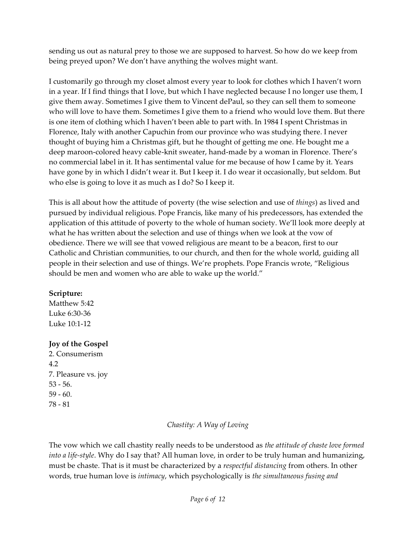sending us out as natural prey to those we are supposed to harvest. So how do we keep from being preyed upon? We don't have anything the wolves might want.

I customarily go through my closet almost every year to look for clothes which I haven't worn in a year. If I find things that I love, but which I have neglected because I no longer use them, I give them away. Sometimes I give them to Vincent dePaul, so they can sell them to someone who will love to have them. Sometimes I give them to a friend who would love them. But there is one item of clothing which I haven't been able to part with. In 1984 I spent Christmas in Florence, Italy with another Capuchin from our province who was studying there. I never thought of buying him a Christmas gift, but he thought of getting me one. He bought me a deep maroon-colored heavy cable-knit sweater, hand-made by a woman in Florence. There's no commercial label in it. It has sentimental value for me because of how I came by it. Years have gone by in which I didn't wear it. But I keep it. I do wear it occasionally, but seldom. But who else is going to love it as much as I do? So I keep it.

This is all about how the attitude of poverty (the wise selection and use of *things*) as lived and pursued by individual religious. Pope Francis, like many of his predecessors, has extended the application of this attitude of poverty to the whole of human society. We'll look more deeply at what he has written about the selection and use of things when we look at the vow of obedience. There we will see that vowed religious are meant to be a beacon, first to our Catholic and Christian communities, to our church, and then for the whole world, guiding all people in their selection and use of things. We're prophets. Pope Francis wrote, "Religious should be men and women who are able to wake up the world."

#### **Scripture:**

Matthew 5:42 Luke 6:30-36 Luke 10:1-12

### **Joy of the Gospel**

2. Consumerism 4.2 7. Pleasure vs. joy 53 - 56. 59 - 60. 78 - 81

### *Chastity: A Way of Loving*

The vow which we call chastity really needs to be understood as *the attitude of chaste love formed into a life-style*. Why do I say that? All human love, in order to be truly human and humanizing, must be chaste. That is it must be characterized by a *respectful distancing* from others. In other words, true human love is *intimacy*, which psychologically is *the simultaneous fusing and*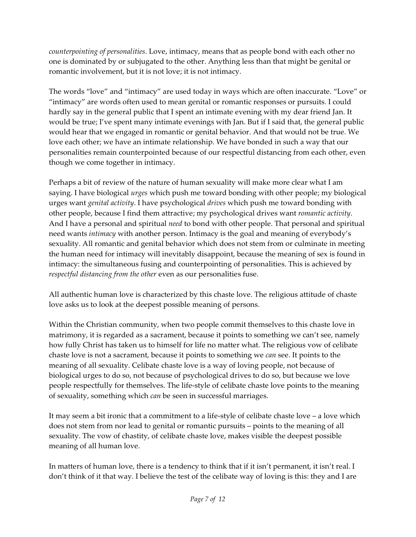*counterpointing of personalities*. Love, intimacy, means that as people bond with each other no one is dominated by or subjugated to the other. Anything less than that might be genital or romantic involvement, but it is not love; it is not intimacy.

The words "love" and "intimacy" are used today in ways which are often inaccurate. "Love" or "intimacy" are words often used to mean genital or romantic responses or pursuits. I could hardly say in the general public that I spent an intimate evening with my dear friend Jan. It would be true; I've spent many intimate evenings with Jan. But if I said that, the general public would hear that we engaged in romantic or genital behavior. And that would not be true. We love each other; we have an intimate relationship. We have bonded in such a way that our personalities remain counterpointed because of our respectful distancing from each other, even though we come together in intimacy.

Perhaps a bit of review of the nature of human sexuality will make more clear what I am saying. I have biological *urges* which push me toward bonding with other people; my biological urges want *genital activity*. I have psychological *drives* which push me toward bonding with other people, because I find them attractive; my psychological drives want *romantic activity*. And I have a personal and spiritual *need* to bond with other people. That personal and spiritual need wants *intimacy* with another person. Intimacy is the goal and meaning of everybody's sexuality. All romantic and genital behavior which does not stem from or culminate in meeting the human need for intimacy will inevitably disappoint, because the meaning of sex is found in intimacy: the simultaneous fusing and counterpointing of personalities. This is achieved by *respectful distancing from the other* even as our personalities fuse.

All authentic human love is characterized by this chaste love. The religious attitude of chaste love asks us to look at the deepest possible meaning of persons.

Within the Christian community, when two people commit themselves to this chaste love in matrimony, it is regarded as a sacrament, because it points to something we can't see, namely how fully Christ has taken us to himself for life no matter what. The religious vow of celibate chaste love is not a sacrament, because it points to something we *can* see. It points to the meaning of all sexuality. Celibate chaste love is a way of loving people, not because of biological urges to do so, not because of psychological drives to do so, but because we love people respectfully for themselves. The life-style of celibate chaste love points to the meaning of sexuality, something which *can* be seen in successful marriages.

It may seem a bit ironic that a commitment to a life-style of celibate chaste love – a love which does not stem from nor lead to genital or romantic pursuits – points to the meaning of all sexuality. The vow of chastity, of celibate chaste love, makes visible the deepest possible meaning of all human love.

In matters of human love, there is a tendency to think that if it isn't permanent, it isn't real. I don't think of it that way. I believe the test of the celibate way of loving is this: they and I are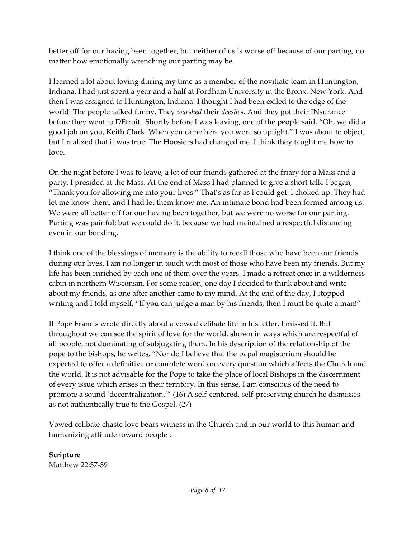better off for our having been together, but neither of us is worse off because of our parting, no matter how emotionally wrenching our parting may be.

I learned a lot about loving during my time as a member of the novitiate team in Huntington, Indiana. I had just spent a year and a half at Fordham University in the Bronx, New York. And then I was assigned to Huntington, Indiana! I thought I had been exiled to the edge of the world! The people talked funny. They *warshed* their *deeshes*. And they got their INsurance before they went to DEtroit. Shortly before I was leaving, one of the people said, "Oh, we did a good job on you, Keith Clark. When you came here you were so uptight." I was about to object, but I realized that it was true. The Hoosiers had changed me. I think they taught me how to love.

On the night before I was to leave, a lot of our friends gathered at the friary for a Mass and a party. I presided at the Mass. At the end of Mass I had planned to give a short talk. I began, "Thank you for allowing me into your lives." That's as far as I could get. I choked up. They had let me know them, and I had let them know me. An intimate bond had been formed among us. We were all better off for our having been together, but we were no worse for our parting. Parting was painful; but we could do it, because we had maintained a respectful distancing even in our bonding.

I think one of the blessings of memory is the ability to recall those who have been our friends during our lives. I am no longer in touch with most of those who have been my friends. But my life has been enriched by each one of them over the years. I made a retreat once in a wilderness cabin in northern Wisconsin. For some reason, one day I decided to think about and write about my friends, as one after another came to my mind. At the end of the day, I stopped writing and I told myself, "If you can judge a man by his friends, then I must be quite a man!"

If Pope Francis wrote directly about a vowed celibate life in his letter, I missed it. But throughout we can see the spirit of love for the world, shown in ways which are respectful of all people, not dominating of subjugating them. In his description of the relationship of the pope to the bishops, he writes, "Nor do I believe that the papal magisterium should be expected to offer a definitive or complete word on every question which affects the Church and the world. It is not advisable for the Pope to take the place of local Bishops in the discernment of every issue which arises in their territory. In this sense, I am conscious of the need to promote a sound 'decentralization.'" (16) A self-centered, self-preserving church he dismisses as not authentically true to the Gospel. (27)

Vowed celibate chaste love bears witness in the Church and in our world to this human and humanizing attitude toward people .

**Scripture** Matthew 22:37-39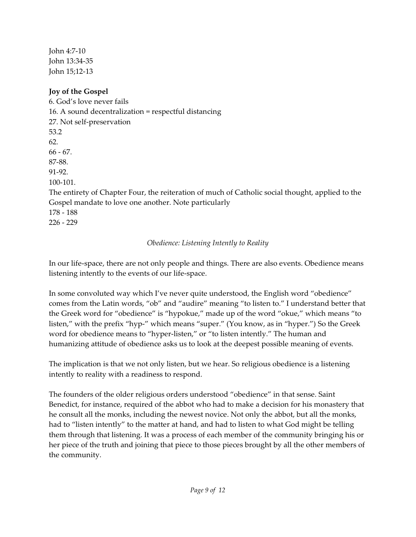John 4:7-10 John 13:34-35 John 15;12-13

## **Joy of the Gospel**

6. God's love never fails 16. A sound decentralization = respectful distancing 27. Not self-preservation 53.2 62. 66 - 67. 87-88. 91-92. 100-101. The entirety of Chapter Four, the reiteration of much of Catholic social thought, applied to the Gospel mandate to love one another. Note particularly 178 - 188 226 - 229

### *Obedience: Listening Intently to Reality*

In our life-space, there are not only people and things. There are also events. Obedience means listening intently to the events of our life-space.

In some convoluted way which I've never quite understood, the English word "obedience" comes from the Latin words, "ob" and "audire" meaning "to listen to." I understand better that the Greek word for "obedience" is "hypokue," made up of the word "okue," which means "to listen," with the prefix "hyp-" which means "super." (You know, as in "hyper.") So the Greek word for obedience means to "hyper-listen," or "to listen intently." The human and humanizing attitude of obedience asks us to look at the deepest possible meaning of events.

The implication is that we not only listen, but we hear. So religious obedience is a listening intently to reality with a readiness to respond.

The founders of the older religious orders understood "obedience" in that sense. Saint Benedict, for instance, required of the abbot who had to make a decision for his monastery that he consult all the monks, including the newest novice. Not only the abbot, but all the monks, had to "listen intently" to the matter at hand, and had to listen to what God might be telling them through that listening. It was a process of each member of the community bringing his or her piece of the truth and joining that piece to those pieces brought by all the other members of the community.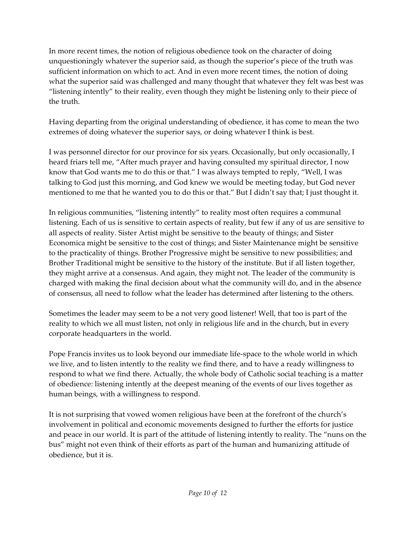In more recent times, the notion of religious obedience took on the character of doing unquestioningly whatever the superior said, as though the superior's piece of the truth was sufficient information on which to act. And in even more recent times, the notion of doing what the superior said was challenged and many thought that whatever they felt was best was "listening intently" to their reality, even though they might be listening only to their piece of the truth.

Having departing from the original understanding of obedience, it has come to mean the two extremes of doing whatever the superior says, or doing whatever I think is best.

I was personnel director for our province for six years. Occasionally, but only occasionally, I heard friars tell me, "After much prayer and having consulted my spiritual director, I now know that God wants me to do this or that." I was always tempted to reply, "Well, I was talking to God just this morning, and God knew we would be meeting today, but God never mentioned to me that he wanted you to do this or that." But I didn't say that; I just thought it.

In religious communities, "listening intently" to reality most often requires a communal listening. Each of us is sensitive to certain aspects of reality, but few if any of us are sensitive to all aspects of reality. Sister Artist might be sensitive to the beauty of things; and Sister Economica might be sensitive to the cost of things; and Sister Maintenance might be sensitive to the practicality of things. Brother Progressive might be sensitive to new possibilities; and Brother Traditional might be sensitive to the history of the institute. But if all listen together, they might arrive at a consensus. And again, they might not. The leader of the community is charged with making the final decision about what the community will do, and in the absence of consensus, all need to follow what the leader has determined after listening to the others.

Sometimes the leader may seem to be a not very good listener! Well, that too is part of the reality to which we all must listen, not only in religious life and in the church, but in every corporate headquarters in the world.

Pope Francis invites us to look beyond our immediate life-space to the whole world in which we live, and to listen intently to the reality we find there, and to have a ready willingness to respond to what we find there. Actually, the whole body of Catholic social teaching is a matter of obedience: listening intently at the deepest meaning of the events of our lives together as human beings, with a willingness to respond.

It is not surprising that vowed women religious have been at the forefront of the church's involvement in political and economic movements designed to further the efforts for justice and peace in our world. It is part of the attitude of listening intently to reality. The "nuns on the bus" might not even think of their efforts as part of the human and humanizing attitude of obedience, but it is.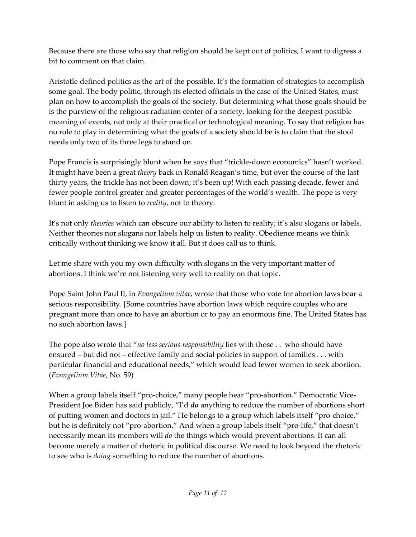Because there are those who say that religion should be kept out of politics, I want to digress a bit to comment on that claim.

Aristotle defined politics as the art of the possible. It's the formation of strategies to accomplish some goal. The body politic, through its elected officials in the case of the United States, must plan on how to accomplish the goals of the society. But determining what those goals should be is the purview of the religious radiation center of a society, looking for the deepest possible meaning of events, not only at their practical or technological meaning. To say that religion has no role to play in determining what the goals of a society should be is to claim that the stool needs only two of its three legs to stand on.

Pope Francis is surprisingly blunt when he says that "trickle-down economics" hasn't worked. It might have been a great *theory* back in Ronald Reagan's time, but over the course of the last thirty years, the trickle has not been down; it's been up! With each passing decade, fewer and fewer people control greater and greater percentages of the world's wealth. The pope is very blunt in asking us to listen to *reality*, not to theory.

It's not only *theories* which can obscure our ability to listen to reality; it's also slogans or labels. Neither theories nor slogans nor labels help us listen to reality. Obedience means we think critically without thinking we know it all. But it does call us to think.

Let me share with you my own difficulty with slogans in the very important matter of abortions. I think we're not listening very well to reality on that topic.

Pope Saint John Paul II, in *Evangelium vitae,* wrote that those who vote for abortion laws bear a serious responsibility. [Some countries have abortion laws which require couples who are pregnant more than once to have an abortion or to pay an enormous fine. The United States has no such abortion laws.]

The pope also wrote that "*no less serious responsibility* lies with those . . who should have ensured – but did not – effective family and social policies in support of families . . . with particular financial and educational needs," which would lead fewer women to seek abortion. (*Evangelium Vitae*, No. 59)

When a group labels itself "pro-choice," many people hear "pro-abortion." Democratic Vice-President Joe Biden has said publicly, "I'd *do* anything to reduce the number of abortions short of putting women and doctors in jail." He belongs to a group which labels itself "pro-choice," but he is definitely not "pro-abortion." And when a group labels itself "pro-life," that doesn't necessarily mean its members will *do* the things which would prevent abortions. It can all become merely a matter of rhetoric in political discourse. We need to look beyond the rhetoric to see who is *doing* something to reduce the number of abortions.